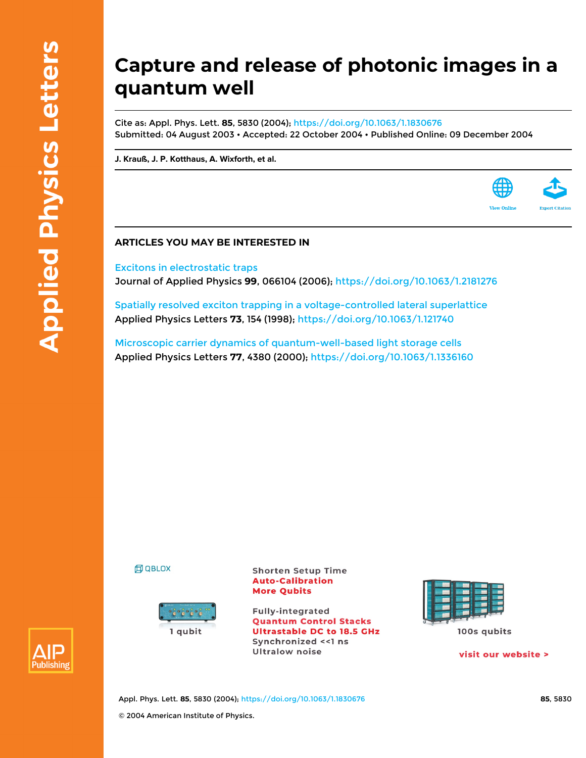## **Capture and release of photonic images in a quantum well**

Cite as: Appl. Phys. Lett. **85**, 5830 (2004); <https://doi.org/10.1063/1.1830676> Submitted: 04 August 2003 • Accepted: 22 October 2004 • Published Online: 09 December 2004

**[J. Krauß,](https://aip.scitation.org/author/Krau%C3%9F%2C+J) [J. P. Kotthaus](https://aip.scitation.org/author/Kotthaus%2C+J+P), [A. Wixforth](https://aip.scitation.org/author/Wixforth%2C+A), et al.**

## **ARTICLES YOU MAY BE INTERESTED IN**

[Excitons in electrostatic traps](https://aip.scitation.org/doi/10.1063/1.2181276) Journal of Applied Physics **99**, 066104 (2006); <https://doi.org/10.1063/1.2181276>

[Spatially resolved exciton trapping in a voltage-controlled lateral superlattice](https://aip.scitation.org/doi/10.1063/1.121740) Applied Physics Letters **73**, 154 (1998);<https://doi.org/10.1063/1.121740>

[Microscopic carrier dynamics of quantum-well-based light storage cells](https://aip.scitation.org/doi/10.1063/1.1336160) Applied Physics Letters **77**, 4380 (2000); <https://doi.org/10.1063/1.1336160>

**印 QBLOX** 



**Shorten Setup Time Auto-Calibration More Qubits** 

**Fully-integrated Quantum Control Stacks Ultrastable DC to 18.5 GHz** Synchronized << 1 ns **Ultralow noise** 



visit our website >

**View Online** 



Appl. Phys. Lett. **85**, 5830 (2004); <https://doi.org/10.1063/1.1830676> **85**, 5830 © 2004 American Institute of Physics.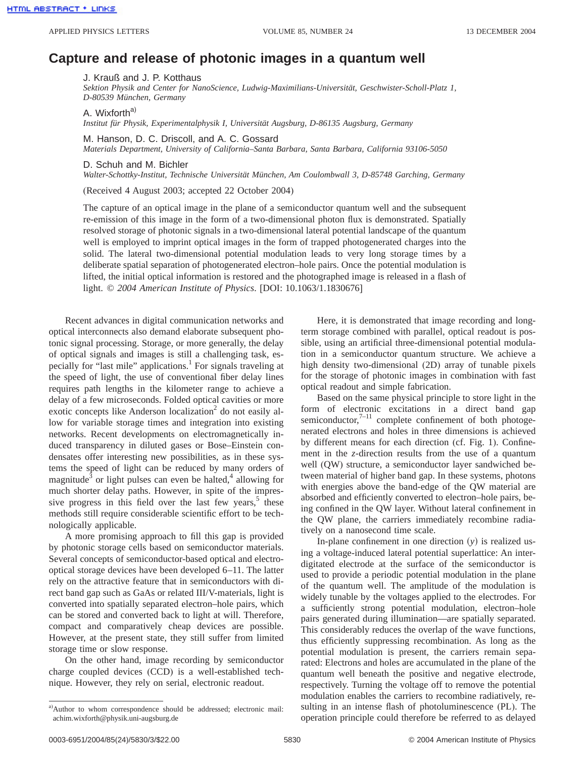## **Capture and release of photonic images in a quantum well**

J. Krauß and J. P. Kotthaus

*Sektion Physik and Center for NanoScience, Ludwig-Maximilians-Universität, Geschwister-Scholl-Platz 1, D-80539 München, Germany*

A. Wixforth<sup>a)</sup>

*Institut für Physik, Experimentalphysik I, Universität Augsburg, D-86135 Augsburg, Germany*

M. Hanson, D. C. Driscoll, and A. C. Gossard

*Materials Department, University of California–Santa Barbara, Santa Barbara, California 93106-5050*

D. Schuh and M. Bichler

*Walter-Schottky-Institut, Technische Universität München, Am Coulombwall 3, D-85748 Garching, Germany*

(Received 4 August 2003; accepted 22 October 2004)

The capture of an optical image in the plane of a semiconductor quantum well and the subsequent re-emission of this image in the form of a two-dimensional photon flux is demonstrated. Spatially resolved storage of photonic signals in a two-dimensional lateral potential landscape of the quantum well is employed to imprint optical images in the form of trapped photogenerated charges into the solid. The lateral two-dimensional potential modulation leads to very long storage times by a deliberate spatial separation of photogenerated electron–hole pairs. Once the potential modulation is lifted, the initial optical information is restored and the photographed image is released in a flash of light. © *2004 American Institute of Physics*. [DOI: 10.1063/1.1830676]

Recent advances in digital communication networks and optical interconnects also demand elaborate subsequent photonic signal processing. Storage, or more generally, the delay of optical signals and images is still a challenging task, especially for "last mile" applications.<sup>1</sup> For signals traveling at the speed of light, the use of conventional fiber delay lines requires path lengths in the kilometer range to achieve a delay of a few microseconds. Folded optical cavities or more exotic concepts like Anderson localization $\alpha$ <sup>2</sup> do not easily allow for variable storage times and integration into existing networks. Recent developments on electromagnetically induced transparency in diluted gases or Bose–Einstein condensates offer interesting new possibilities, as in these systems the speed of light can be reduced by many orders of magnitude<sup>3</sup> or light pulses can even be halted, $4$  allowing for much shorter delay paths. However, in spite of the impressive progress in this field over the last few years,<sup>5</sup> these methods still require considerable scientific effort to be technologically applicable.

A more promising approach to fill this gap is provided by photonic storage cells based on semiconductor materials. Several concepts of semiconductor-based optical and electrooptical storage devices have been developed 6–11. The latter rely on the attractive feature that in semiconductors with direct band gap such as GaAs or related III/V-materials, light is converted into spatially separated electron–hole pairs, which can be stored and converted back to light at will. Therefore, compact and comparatively cheap devices are possible. However, at the present state, they still suffer from limited storage time or slow response.

On the other hand, image recording by semiconductor charge coupled devices (CCD) is a well-established technique. However, they rely on serial, electronic readout.

Here, it is demonstrated that image recording and longterm storage combined with parallel, optical readout is possible, using an artificial three-dimensional potential modulation in a semiconductor quantum structure. We achieve a high density two-dimensional (2D) array of tunable pixels for the storage of photonic images in combination with fast optical readout and simple fabrication.

Based on the same physical principle to store light in the form of electronic excitations in a direct band gap semiconductor, $7-11$  complete confinement of both photogenerated electrons and holes in three dimensions is achieved by different means for each direction (cf. Fig. 1). Confinement in the *z*-direction results from the use of a quantum well (QW) structure, a semiconductor layer sandwiched between material of higher band gap. In these systems, photons with energies above the band-edge of the QW material are absorbed and efficiently converted to electron–hole pairs, being confined in the QW layer. Without lateral confinement in the QW plane, the carriers immediately recombine radiatively on a nanosecond time scale.

In-plane confinement in one direction  $(y)$  is realized using a voltage-induced lateral potential superlattice: An interdigitated electrode at the surface of the semiconductor is used to provide a periodic potential modulation in the plane of the quantum well. The amplitude of the modulation is widely tunable by the voltages applied to the electrodes. For a sufficiently strong potential modulation, electron–hole pairs generated during illumination—are spatially separated. This considerably reduces the overlap of the wave functions, thus efficiently suppressing recombination. As long as the potential modulation is present, the carriers remain separated: Electrons and holes are accumulated in the plane of the quantum well beneath the positive and negative electrode, respectively. Turning the voltage off to remove the potential modulation enables the carriers to recombine radiatively, resulting in an intense flash of photoluminescence (PL). The operation principle could therefore be referred to as delayed

a) Author to whom correspondence should be addressed; electronic mail: achim.wixforth@physik.uni-augsburg.de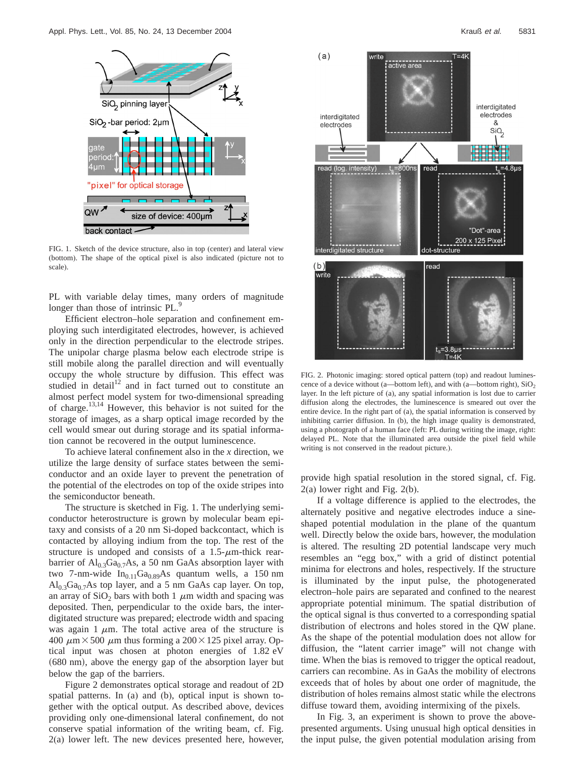

FIG. 1. Sketch of the device structure, also in top (center) and lateral view (bottom). The shape of the optical pixel is also indicated (picture not to scale).

PL with variable delay times, many orders of magnitude longer than those of intrinsic PL.

Efficient electron–hole separation and confinement employing such interdigitated electrodes, however, is achieved only in the direction perpendicular to the electrode stripes. The unipolar charge plasma below each electrode stripe is still mobile along the parallel direction and will eventually occupy the whole structure by diffusion. This effect was studied in detail<sup>12</sup> and in fact turned out to constitute an almost perfect model system for two-dimensional spreading of charge.13,14 However, this behavior is not suited for the storage of images, as a sharp optical image recorded by the cell would smear out during storage and its spatial information cannot be recovered in the output luminescence.

To achieve lateral confinement also in the *x* direction, we utilize the large density of surface states between the semiconductor and an oxide layer to prevent the penetration of the potential of the electrodes on top of the oxide stripes into the semiconductor beneath.

The structure is sketched in Fig. 1. The underlying semiconductor heterostructure is grown by molecular beam epitaxy and consists of a 20 nm Si-doped backcontact, which is contacted by alloying indium from the top. The rest of the structure is undoped and consists of a  $1.5$ - $\mu$ m-thick rearbarrier of  $Al_{0,3}Ga_{0,7}As$ , a 50 nm GaAs absorption layer with two 7-nm-wide  $In<sub>0.11</sub>Ga<sub>0.89</sub>As quantum wells, a 150 nm$  $Al<sub>0.3</sub>Ga<sub>0.7</sub>As$  top layer, and a 5 nm GaAs cap layer. On top, an array of  $SiO<sub>2</sub>$  bars with both 1  $\mu$ m width and spacing was deposited. Then, perpendicular to the oxide bars, the interdigitated structure was prepared; electrode width and spacing was again 1  $\mu$ m. The total active area of the structure is 400  $\mu$ m × 500  $\mu$ m thus forming a 200 × 125 pixel array. Optical input was chosen at photon energies of 1.82 eV (680 nm), above the energy gap of the absorption layer but below the gap of the barriers.

Figure 2 demonstrates optical storage and readout of 2D spatial patterns. In (a) and (b), optical input is shown together with the optical output. As described above, devices providing only one-dimensional lateral confinement, do not conserve spatial information of the writing beam, cf. Fig. 2(a) lower left. The new devices presented here, however,



FIG. 2. Photonic imaging: stored optical pattern (top) and readout luminescence of a device without (a—bottom left), and with (a—bottom right),  $SiO<sub>2</sub>$ layer. In the left picture of (a), any spatial information is lost due to carrier diffusion along the electrodes, the luminescence is smeared out over the entire device. In the right part of (a), the spatial information is conserved by inhibiting carrier diffusion. In (b), the high image quality is demonstrated, using a photograph of a human face (left: PL during writing the image, right: delayed PL. Note that the illuminated area outside the pixel field while writing is not conserved in the readout picture.).

provide high spatial resolution in the stored signal, cf. Fig. 2(a) lower right and Fig. 2(b).

If a voltage difference is applied to the electrodes, the alternately positive and negative electrodes induce a sineshaped potential modulation in the plane of the quantum well. Directly below the oxide bars, however, the modulation is altered. The resulting 2D potential landscape very much resembles an "egg box," with a grid of distinct potential minima for electrons and holes, respectively. If the structure is illuminated by the input pulse, the photogenerated electron–hole pairs are separated and confined to the nearest appropriate potential minimum. The spatial distribution of the optical signal is thus converted to a corresponding spatial distribution of electrons and holes stored in the QW plane. As the shape of the potential modulation does not allow for diffusion, the "latent carrier image" will not change with time. When the bias is removed to trigger the optical readout, carriers can recombine. As in GaAs the mobility of electrons exceeds that of holes by about one order of magnitude, the distribution of holes remains almost static while the electrons diffuse toward them, avoiding intermixing of the pixels.

In Fig. 3, an experiment is shown to prove the abovepresented arguments. Using unusual high optical densities in the input pulse, the given potential modulation arising from